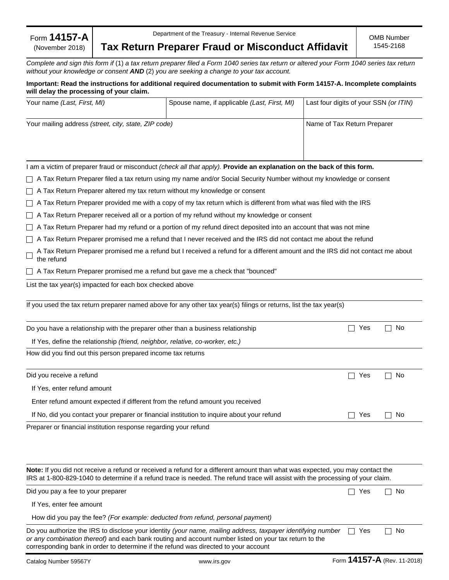|  | Form $14157$ -A |
|--|-----------------|
|  | (November 2018) |

Department of the Treasury - Internal Revenue Service

**Tax Return Preparer Fraud or Misconduct Affidavit**

*Complete and sign this form if* (1) *a tax return preparer filed a Form 1040 series tax return or altered your Form 1040 series tax return without your knowledge or consent AND* (2) *you are seeking a change to your tax account.* 

# **Important: Read the instructions for additional required documentation to submit with Form 14157-A. Incomplete complaints will delay the processing of your claim.**

| Your name (Last, First, MI)                                                                                                                                                                                                                                                                                 | Spouse name, if applicable (Last, First, MI)                                                                                   | Last four digits of your SSN (or ITIN) |
|-------------------------------------------------------------------------------------------------------------------------------------------------------------------------------------------------------------------------------------------------------------------------------------------------------------|--------------------------------------------------------------------------------------------------------------------------------|----------------------------------------|
| Your mailing address (street, city, state, ZIP code)                                                                                                                                                                                                                                                        |                                                                                                                                | Name of Tax Return Preparer            |
|                                                                                                                                                                                                                                                                                                             |                                                                                                                                |                                        |
| I am a victim of preparer fraud or misconduct (check all that apply). Provide an explanation on the back of this form.                                                                                                                                                                                      |                                                                                                                                |                                        |
|                                                                                                                                                                                                                                                                                                             | A Tax Return Preparer filed a tax return using my name and/or Social Security Number without my knowledge or consent           |                                        |
| A Tax Return Preparer altered my tax return without my knowledge or consent                                                                                                                                                                                                                                 |                                                                                                                                |                                        |
|                                                                                                                                                                                                                                                                                                             | A Tax Return Preparer provided me with a copy of my tax return which is different from what was filed with the IRS             |                                        |
|                                                                                                                                                                                                                                                                                                             | A Tax Return Preparer received all or a portion of my refund without my knowledge or consent                                   |                                        |
|                                                                                                                                                                                                                                                                                                             | A Tax Return Preparer had my refund or a portion of my refund direct deposited into an account that was not mine               |                                        |
|                                                                                                                                                                                                                                                                                                             | A Tax Return Preparer promised me a refund that I never received and the IRS did not contact me about the refund               |                                        |
| the refund                                                                                                                                                                                                                                                                                                  | A Tax Return Preparer promised me a refund but I received a refund for a different amount and the IRS did not contact me about |                                        |
| A Tax Return Preparer promised me a refund but gave me a check that "bounced"                                                                                                                                                                                                                               |                                                                                                                                |                                        |
| List the tax year(s) impacted for each box checked above                                                                                                                                                                                                                                                    |                                                                                                                                |                                        |
| If you used the tax return preparer named above for any other tax year(s) filings or returns, list the tax year(s)                                                                                                                                                                                          |                                                                                                                                |                                        |
| Do you have a relationship with the preparer other than a business relationship                                                                                                                                                                                                                             |                                                                                                                                | Yes<br>No<br>$\vert \ \ \vert$         |
| If Yes, define the relationship (friend, neighbor, relative, co-worker, etc.)                                                                                                                                                                                                                               |                                                                                                                                |                                        |
| How did you find out this person prepared income tax returns                                                                                                                                                                                                                                                |                                                                                                                                |                                        |
| Did you receive a refund                                                                                                                                                                                                                                                                                    |                                                                                                                                | $\mathsf{L}$<br>Yes<br>No              |
| If Yes, enter refund amount                                                                                                                                                                                                                                                                                 |                                                                                                                                |                                        |
| Enter refund amount expected if different from the refund amount you received                                                                                                                                                                                                                               |                                                                                                                                |                                        |
| If No, did you contact your preparer or financial institution to inquire about your refund                                                                                                                                                                                                                  |                                                                                                                                | Yes<br>No.                             |
| Preparer or financial institution response regarding your refund                                                                                                                                                                                                                                            |                                                                                                                                |                                        |
| Note: If you did not receive a refund or received a refund for a different amount than what was expected, you may contact the<br>IRS at 1-800-829-1040 to determine if a refund trace is needed. The refund trace will assist with the processing of your claim.                                            |                                                                                                                                |                                        |
| Did you pay a fee to your preparer                                                                                                                                                                                                                                                                          |                                                                                                                                | □ No<br>$\Box$ Yes                     |
| If Yes, enter fee amount                                                                                                                                                                                                                                                                                    |                                                                                                                                |                                        |
| How did you pay the fee? (For example: deducted from refund, personal payment)                                                                                                                                                                                                                              |                                                                                                                                |                                        |
| Do you authorize the IRS to disclose your identity (your name, mailing address, taxpayer identifying number<br>or any combination thereof) and each bank routing and account number listed on your tax return to the<br>corresponding bank in order to determine if the refund was directed to your account |                                                                                                                                | ヿ No<br>l I Yes                        |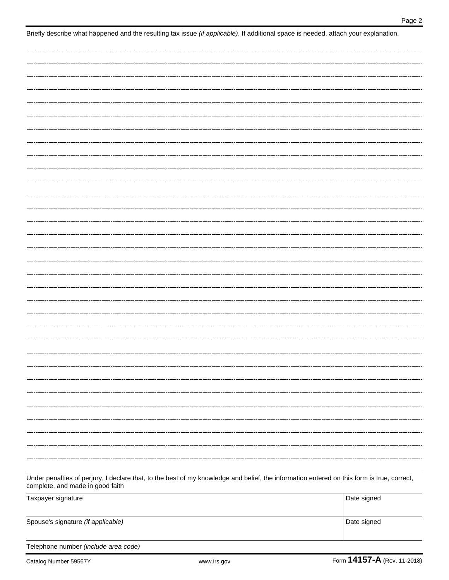| complete, and made in good faith     |             | Under penalties of perjury, I declare that, to the best of my knowledge and belief, the information entered on this form is true, correct, |
|--------------------------------------|-------------|--------------------------------------------------------------------------------------------------------------------------------------------|
| Taxpayer signature                   |             | Date signed                                                                                                                                |
| Spouse's signature (if applicable)   |             | Date signed                                                                                                                                |
| Telephone number (include area code) |             |                                                                                                                                            |
| Catalog Number 59567Y                | www.irs.gov | Form 14157-A (Rev. 11-2018)                                                                                                                |

Briefly describe what happened and the resulting tax issue *(if applicable)*. If additional space is needed, attach your explanation.